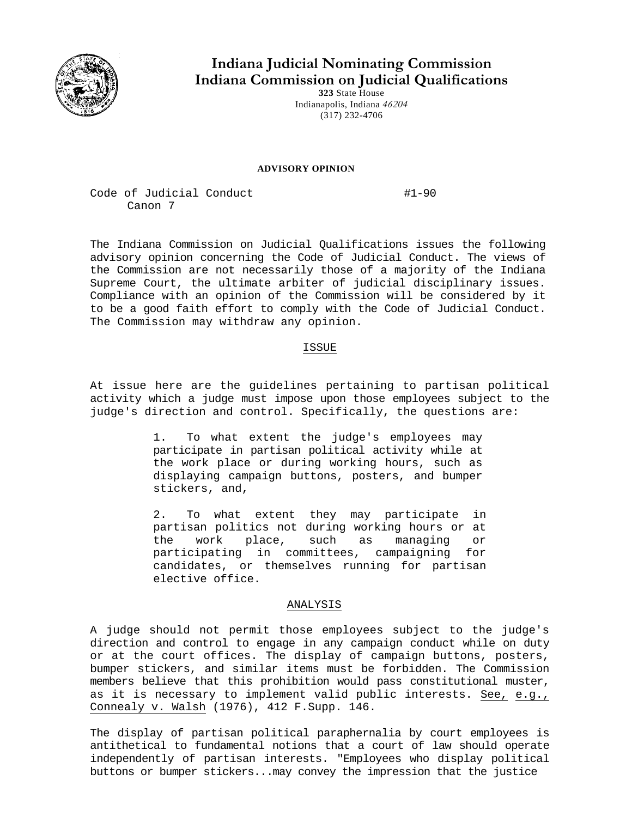

**Indiana Judicial Nominating Commission Indiana Commission on Judicial Qualifications** 

**323** State House Indianapolis, Indiana *46204*  (317) 232-4706

## **ADVISORY OPINION**

Code of Judicial Conduct #1-90 Canon 7

The Indiana Commission on Judicial Qualifications issues the following advisory opinion concerning the Code of Judicial Conduct. The views of the Commission are not necessarily those of a majority of the Indiana Supreme Court, the ultimate arbiter of judicial disciplinary issues. Compliance with an opinion of the Commission will be considered by it to be a good faith effort to comply with the Code of Judicial Conduct. The Commission may withdraw any opinion.

## ISSUE

At issue here are the guidelines pertaining to partisan political activity which a judge must impose upon those employees subject to the judge's direction and control. Specifically, the questions are:

> 1. To what extent the judge's employees may participate in partisan political activity while at the work place or during working hours, such as displaying campaign buttons, posters, and bumper stickers, and,

2. To what extent they may participate in partisan politics not during working hours or at<br>the work place, such as managing or the work place, such as managing or participating in committees, campaigning for candidates, or themselves running for partisan elective office.

## ANALYSIS

A judge should not permit those employees subject to the judge's direction and control to engage in any campaign conduct while on duty or at the court offices. The display of campaign buttons, posters, bumper stickers, and similar items must be forbidden. The Commission members believe that this prohibition would pass constitutional muster, as it is necessary to implement valid public interests. See, e.g., Connealy v. Walsh (1976), 412 F.Supp. 146.

The display of partisan political paraphernalia by court employees is antithetical to fundamental notions that a court of law should operate independently of partisan interests. "Employees who display political buttons or bumper stickers...may convey the impression that the justice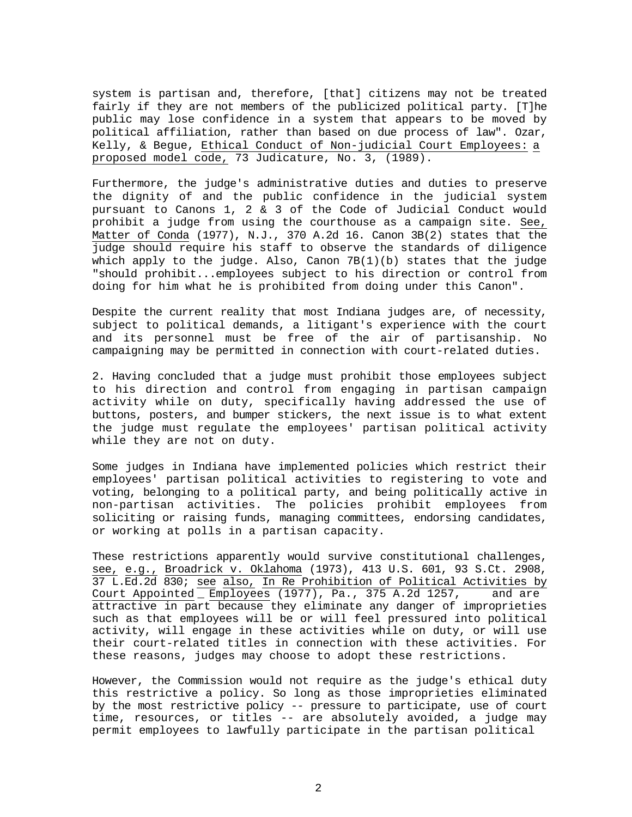system is partisan and, therefore, [that] citizens may not be treated fairly if they are not members of the publicized political party. [T]he public may lose confidence in a system that appears to be moved by political affiliation, rather than based on due process of law". Ozar, Kelly, & Begue, Ethical Conduct of Non-judicial Court Employees: a proposed model code, 73 Judicature, No. 3, (1989).

Furthermore, the judge's administrative duties and duties to preserve the dignity of and the public confidence in the judicial system pursuant to Canons 1, 2 & 3 of the Code of Judicial Conduct would prohibit a judge from using the courthouse as a campaign site. See, Matter of Conda (1977), N.J., 370 A.2d 16. Canon 3B(2) states that the judge should require his staff to observe the standards of diligence which apply to the judge. Also, Canon  $7B(1)(b)$  states that the judge "should prohibit...employees subject to his direction or control from doing for him what he is prohibited from doing under this Canon".

Despite the current reality that most Indiana judges are, of necessity, subject to political demands, a litigant's experience with the court and its personnel must be free of the air of partisanship. No campaigning may be permitted in connection with court-related duties.

2. Having concluded that a judge must prohibit those employees subject to his direction and control from engaging in partisan campaign activity while on duty, specifically having addressed the use of buttons, posters, and bumper stickers, the next issue is to what extent the judge must regulate the employees' partisan political activity while they are not on duty.

Some judges in Indiana have implemented policies which restrict their employees' partisan political activities to registering to vote and voting, belonging to a political party, and being politically active in non-partisan activities. The policies prohibit employees from soliciting or raising funds, managing committees, endorsing candidates, or working at polls in a partisan capacity.

These restrictions apparently would survive constitutional challenges, see, e.g., Broadrick v. Oklahoma (1973), 413 U.S. 601, 93 S.Ct. 2908, 37 L.Ed.2d 830; see also, In Re Prohibition of Political Activities by Court Appointed Employees (1977), Pa., 375 A.2d 1257, and are attractive in part because they eliminate any danger of improprieties such as that employees will be or will feel pressured into political activity, will engage in these activities while on duty, or will use their court-related titles in connection with these activities. For these reasons, judges may choose to adopt these restrictions.

However, the Commission would not require as the judge's ethical duty this restrictive a policy. So long as those improprieties eliminated by the most restrictive policy -- pressure to participate, use of court time, resources, or titles -- are absolutely avoided, a judge may permit employees to lawfully participate in the partisan political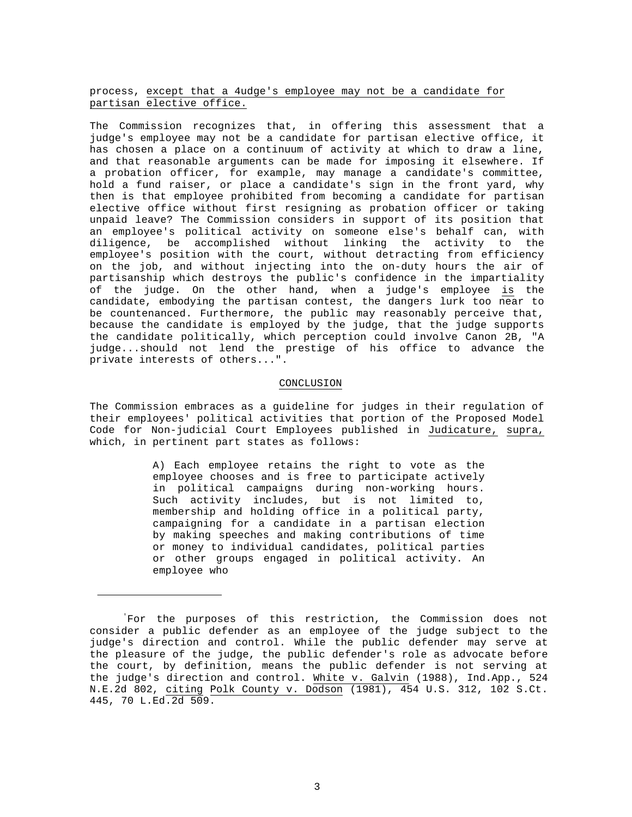process, except that a 4udge's employee may not be a candidate for partisan elective office.

The Commission recognizes that, in offering this assessment that a judge's employee may not be a candidate for partisan elective office, it has chosen a place on a continuum of activity at which to draw a line, and that reasonable arguments can be made for imposing it elsewhere. If a probation officer, for example, may manage a candidate's committee, hold a fund raiser, or place a candidate's sign in the front yard, why then is that employee prohibited from becoming a candidate for partisan elective office without first resigning as probation officer or taking unpaid leave? The Commission considers in support of its position that an employee's political activity on someone else's behalf can, with diligence, be accomplished without linking the activity to the employee's position with the court, without detracting from efficiency on the job, and without injecting into the on-duty hours the air of partisanship which destroys the public's confidence in the impartiality of the judge. On the other hand, when a judge's employee is the candidate, embodying the partisan contest, the dangers lurk too near to be countenanced. Furthermore, the public may reasonably perceive that, because the candidate is employed by the judge, that the judge supports the candidate politically, which perception could involve Canon 2B, "A judge...should not lend the prestige of his office to advance the private interests of others...".

## CONCLUSION

The Commission embraces as a guideline for judges in their regulation of their employees' political activities that portion of the Proposed Model Code for Non-judicial Court Employees published in Judicature, supra, which, in pertinent part states as follows:

> A) Each employee retains the right to vote as the employee chooses and is free to participate actively in political campaigns during non-working hours. Such activity includes, but is not limited to, membership and holding office in a political party, campaigning for a candidate in a partisan election by making speeches and making contributions of time or money to individual candidates, political parties or other groups engaged in political activity. An employee who

<sup>&#</sup>x27; For the purposes of this restriction, the Commission does not consider a public defender as an employee of the judge subject to the judge's direction and control. While the public defender may serve at the pleasure of the judge, the public defender's role as advocate before the court, by definition, means the public defender is not serving at the judge's direction and control. White v. Galvin (1988), Ind.App., 524 N.E.2d 802, citing Polk County v. Dodson (1981), 454 U.S. 312, 102 S.Ct. 445, 70 L.Ed.2d 509.